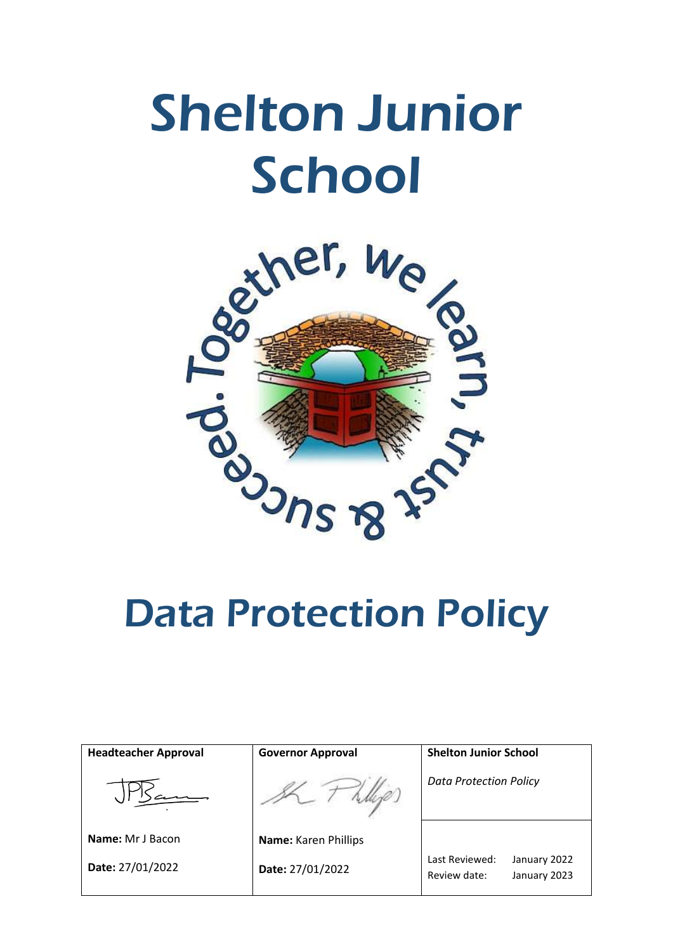

| <b>Headteacher Approval</b> | <b>Governor Approval</b> | <b>Shelton Junior School</b>                                   |
|-----------------------------|--------------------------|----------------------------------------------------------------|
|                             |                          | <b>Data Protection Policy</b>                                  |
| <b>Name:</b> Mr J Bacon     | Name: Karen Phillips     |                                                                |
| Date: 27/01/2022            | Date: 27/01/2022         | Last Reviewed:<br>January 2022<br>Review date:<br>January 2023 |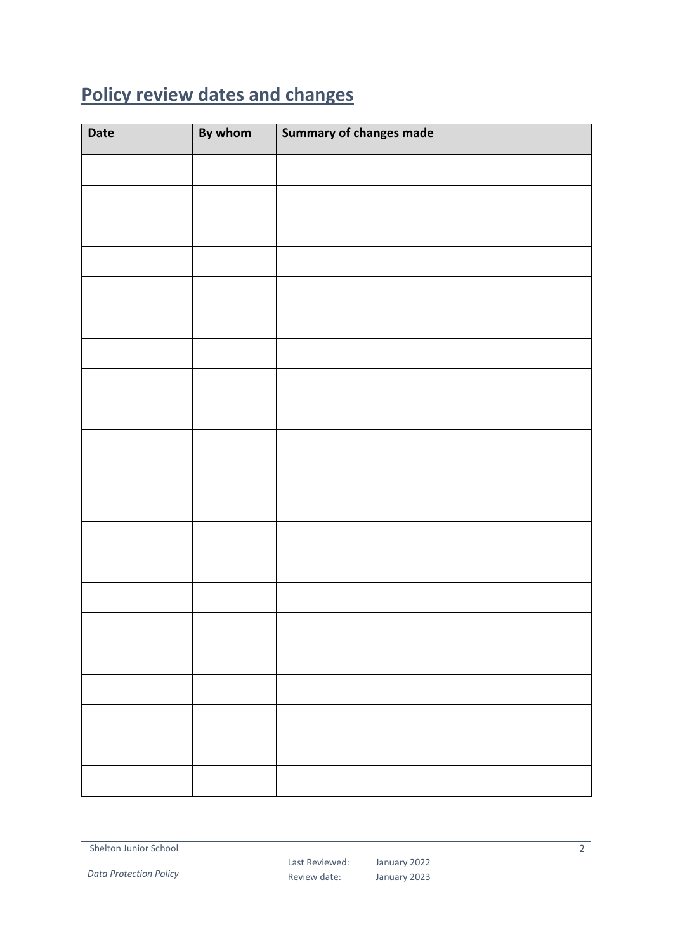# <span id="page-1-0"></span>**Policy review dates and changes**

| <b>Date</b> | By whom | Summary of changes made |
|-------------|---------|-------------------------|
|             |         |                         |
|             |         |                         |
|             |         |                         |
|             |         |                         |
|             |         |                         |
|             |         |                         |
|             |         |                         |
|             |         |                         |
|             |         |                         |
|             |         |                         |
|             |         |                         |
|             |         |                         |
|             |         |                         |
|             |         |                         |
|             |         |                         |
|             |         |                         |
|             |         |                         |
|             |         |                         |
|             |         |                         |
|             |         |                         |
|             |         |                         |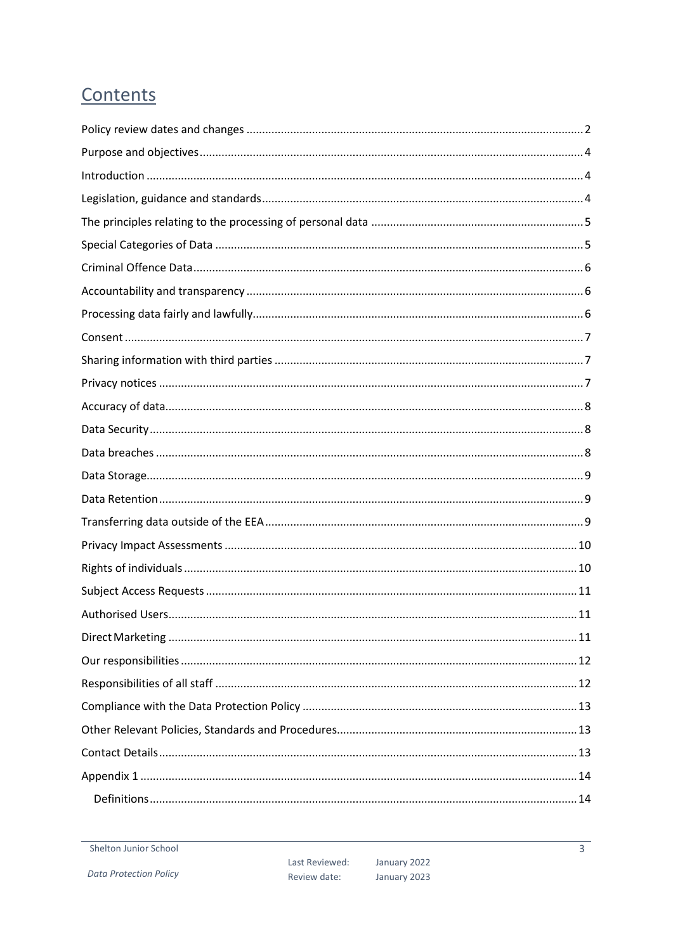# Contents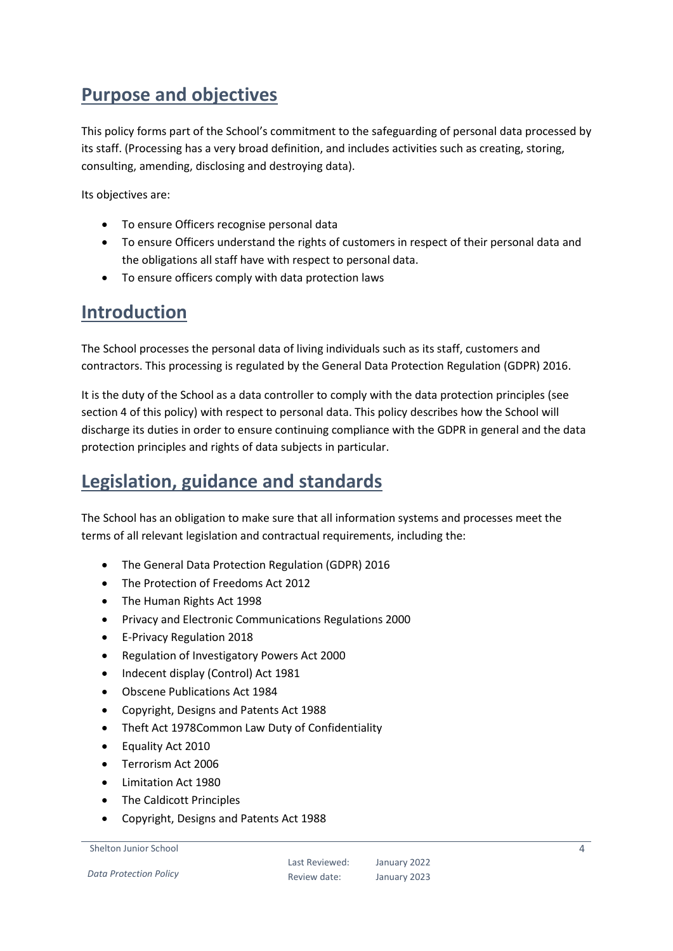# <span id="page-3-0"></span>**Purpose and objectives**

This policy forms part of the School's commitment to the safeguarding of personal data processed by its staff. (Processing has a very broad definition, and includes activities such as creating, storing, consulting, amending, disclosing and destroying data).

Its objectives are:

- To ensure Officers recognise personal data
- To ensure Officers understand the rights of customers in respect of their personal data and the obligations all staff have with respect to personal data.
- To ensure officers comply with data protection laws

#### <span id="page-3-1"></span>**Introduction**

The School processes the personal data of living individuals such as its staff, customers and contractors. This processing is regulated by the General Data Protection Regulation (GDPR) 2016.

It is the duty of the School as a data controller to comply with the data protection principles (see section 4 of this policy) with respect to personal data. This policy describes how the School will discharge its duties in order to ensure continuing compliance with the GDPR in general and the data protection principles and rights of data subjects in particular.

## <span id="page-3-2"></span>**Legislation, guidance and standards**

The School has an obligation to make sure that all information systems and processes meet the terms of all relevant legislation and contractual requirements, including the:

- The General Data Protection Regulation (GDPR) 2016
- The Protection of Freedoms Act 2012
- The Human Rights Act 1998
- Privacy and Electronic Communications Regulations 2000
- E-Privacy Regulation 2018
- Regulation of Investigatory Powers Act 2000
- Indecent display (Control) Act 1981
- Obscene Publications Act 1984
- Copyright, Designs and Patents Act 1988
- Theft Act 1978Common Law Duty of Confidentiality
- Equality Act 2010
- Terrorism Act 2006
- Limitation Act 1980
- The Caldicott Principles
- Copyright, Designs and Patents Act 1988

```
Shelton Junior School
```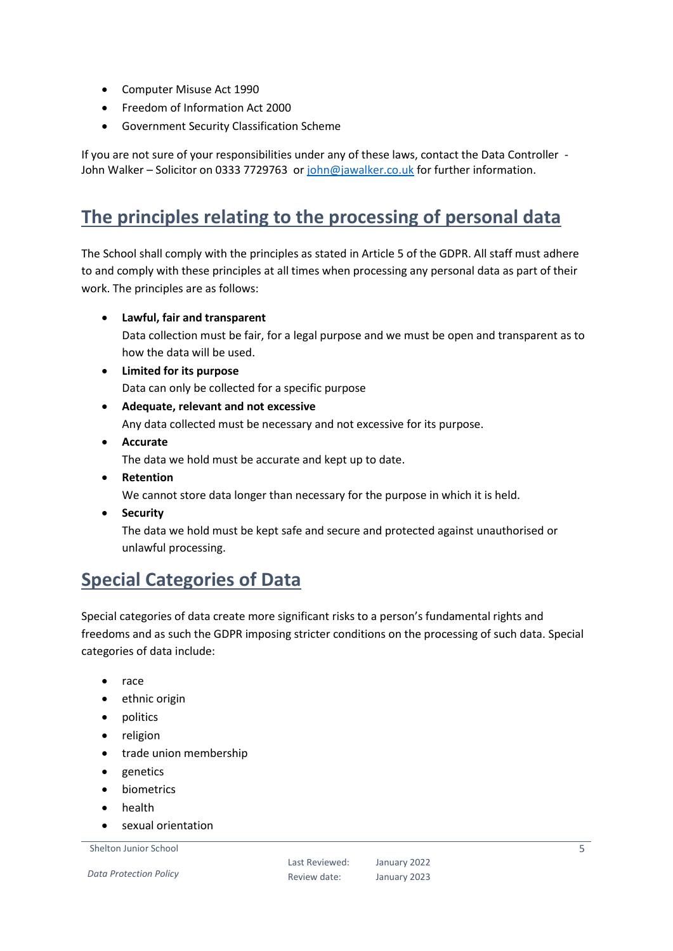- Computer Misuse Act 1990
- Freedom of Information Act 2000
- Government Security Classification Scheme

If you are not sure of your responsibilities under any of these laws, contact the Data Controller John Walker – Solicitor on 0333 7729763 o[r john@jawalker.co.uk](mailto:john@jawalker.co.uk) for further information.

# <span id="page-4-0"></span>**The principles relating to the processing of personal data**

The School shall comply with the principles as stated in Article 5 of the GDPR. All staff must adhere to and comply with these principles at all times when processing any personal data as part of their work. The principles are as follows:

**Lawful, fair and transparent**

Data collection must be fair, for a legal purpose and we must be open and transparent as to how the data will be used.

- **Limited for its purpose** Data can only be collected for a specific purpose
- **Adequate, relevant and not excessive** Any data collected must be necessary and not excessive for its purpose.
- **Accurate** The data we hold must be accurate and kept up to date.
- **Retention** We cannot store data longer than necessary for the purpose in which it is held.
- **•** Security

The data we hold must be kept safe and secure and protected against unauthorised or unlawful processing.

### <span id="page-4-1"></span>**Special Categories of Data**

Special categories of data create more significant risks to a person's fundamental rights and freedoms and as such the GDPR imposing stricter conditions on the processing of such data. Special categories of data include:

- race
- ethnic origin
- politics
- religion
- trade union membership
- genetics
- biometrics
- **•** health
- sexual orientation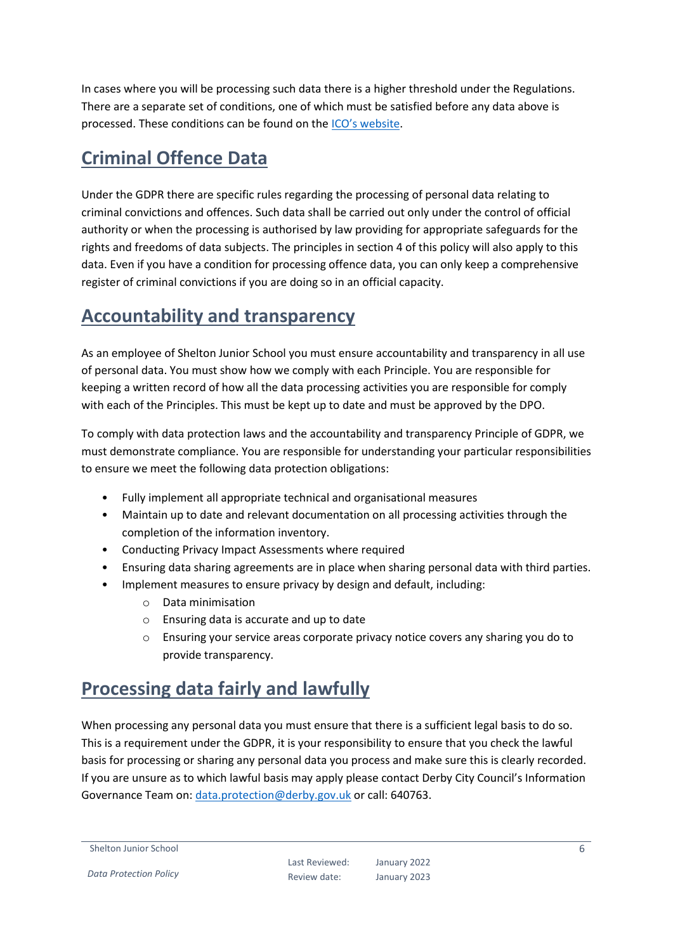In cases where you will be processing such data there is a higher threshold under the Regulations. There are a separate set of conditions, one of which must be satisfied before any data above is processed. These conditions can be found on the [ICO's website](https://ico.org.uk/for-organisations/guide-to-the-general-data-protection-regulation-gdpr/lawful-basis-for-processing/special-category-data/).

# <span id="page-5-0"></span>**Criminal Offence Data**

Under the GDPR there are specific rules regarding the processing of personal data relating to criminal convictions and offences. Such data shall be carried out only under the control of official authority or when the processing is authorised by law providing for appropriate safeguards for the rights and freedoms of data subjects. The principles in section 4 of this policy will also apply to this data. Even if you have a condition for processing offence data, you can only keep a comprehensive register of criminal convictions if you are doing so in an official capacity.

# <span id="page-5-1"></span>**Accountability and transparency**

As an employee of Shelton Junior School you must ensure accountability and transparency in all use of personal data. You must show how we comply with each Principle. You are responsible for keeping a written record of how all the data processing activities you are responsible for comply with each of the Principles. This must be kept up to date and must be approved by the DPO.

To comply with data protection laws and the accountability and transparency Principle of GDPR, we must demonstrate compliance. You are responsible for understanding your particular responsibilities to ensure we meet the following data protection obligations:

- Fully implement all appropriate technical and organisational measures
- Maintain up to date and relevant documentation on all processing activities through the completion of the information inventory.
- Conducting Privacy Impact Assessments where required
- Ensuring data sharing agreements are in place when sharing personal data with third parties.
- Implement measures to ensure privacy by design and default, including:
	- o Data minimisation
	- o Ensuring data is accurate and up to date
	- o Ensuring your service areas corporate privacy notice covers any sharing you do to provide transparency.

#### <span id="page-5-2"></span>**Processing data fairly and lawfully**

When processing any personal data you must ensure that there is a sufficient legal basis to do so. This is a requirement under the GDPR, it is your responsibility to ensure that you check the lawful basis for processing or sharing any personal data you process and make sure this is clearly recorded. If you are unsure as to which lawful basis may apply please contact Derby City Council's Information Governance Team on: [data.protection@derby.gov.uk](mailto:data.protection@derby.gov.uk) or call: 640763.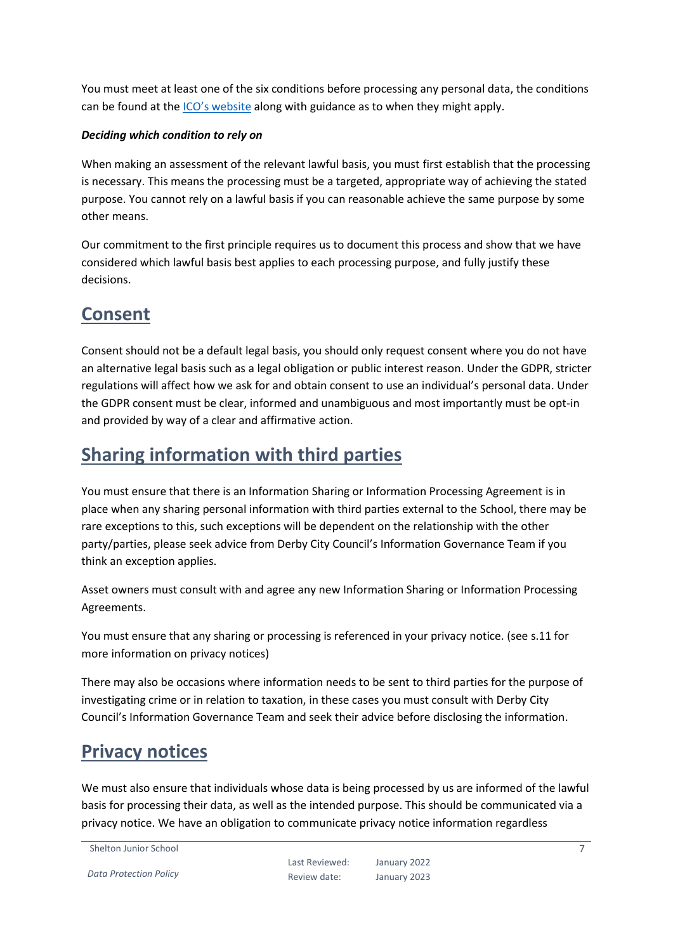You must meet at least one of the six conditions before processing any personal data, the conditions can be found at the [ICO's website](https://ico.org.uk/for-organisations/guide-to-the-general-data-protection-regulation-gdpr/lawful-basis-for-processing/) along with guidance as to when they might apply.

#### *Deciding which condition to rely on*

When making an assessment of the relevant lawful basis, you must first establish that the processing is necessary. This means the processing must be a targeted, appropriate way of achieving the stated purpose. You cannot rely on a lawful basis if you can reasonable achieve the same purpose by some other means.

Our commitment to the first principle requires us to document this process and show that we have considered which lawful basis best applies to each processing purpose, and fully justify these decisions.

#### <span id="page-6-0"></span>**Consent**

Consent should not be a default legal basis, you should only request consent where you do not have an alternative legal basis such as a legal obligation or public interest reason. Under the GDPR, stricter regulations will affect how we ask for and obtain consent to use an individual's personal data. Under the GDPR consent must be clear, informed and unambiguous and most importantly must be opt-in and provided by way of a clear and affirmative action.

### <span id="page-6-1"></span>**Sharing information with third parties**

You must ensure that there is an Information Sharing or Information Processing Agreement is in place when any sharing personal information with third parties external to the School, there may be rare exceptions to this, such exceptions will be dependent on the relationship with the other party/parties, please seek advice from Derby City Council's Information Governance Team if you think an exception applies.

Asset owners must consult with and agree any new Information Sharing or Information Processing Agreements.

You must ensure that any sharing or processing is referenced in your privacy notice. (see s.11 for more information on privacy notices)

There may also be occasions where information needs to be sent to third parties for the purpose of investigating crime or in relation to taxation, in these cases you must consult with Derby City Council's Information Governance Team and seek their advice before disclosing the information.

#### <span id="page-6-2"></span>**Privacy notices**

We must also ensure that individuals whose data is being processed by us are informed of the lawful basis for processing their data, as well as the intended purpose. This should be communicated via a privacy notice. We have an obligation to communicate privacy notice information regardless

Shelton Junior School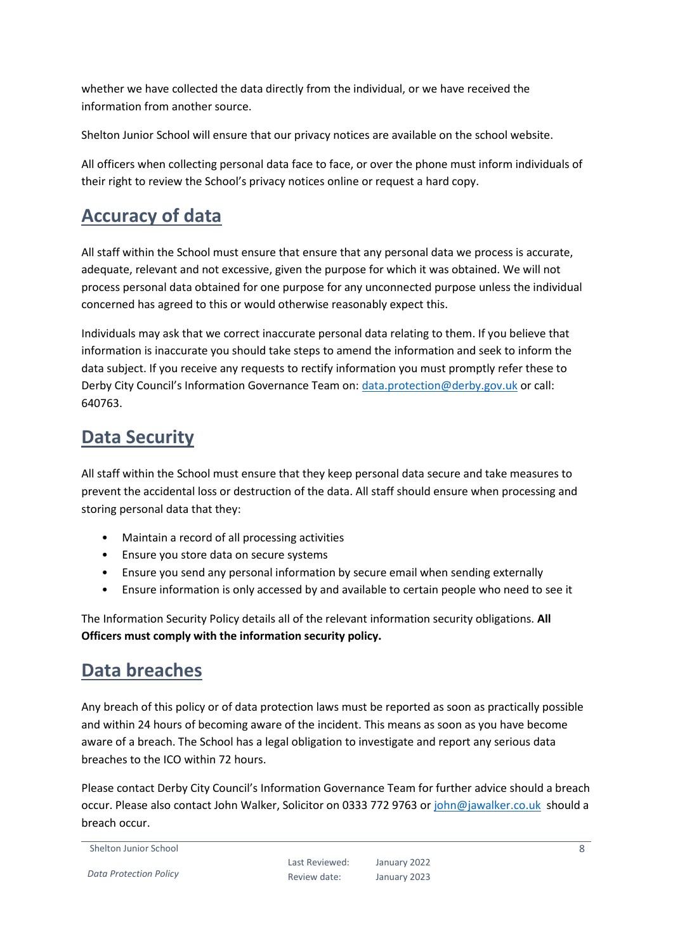whether we have collected the data directly from the individual, or we have received the information from another source.

Shelton Junior School will ensure that our privacy notices are available on the school website.

All officers when collecting personal data face to face, or over the phone must inform individuals of their right to review the School's privacy notices online or request a hard copy.

### <span id="page-7-0"></span>**Accuracy of data**

All staff within the School must ensure that ensure that any personal data we process is accurate, adequate, relevant and not excessive, given the purpose for which it was obtained. We will not process personal data obtained for one purpose for any unconnected purpose unless the individual concerned has agreed to this or would otherwise reasonably expect this.

Individuals may ask that we correct inaccurate personal data relating to them. If you believe that information is inaccurate you should take steps to amend the information and seek to inform the data subject. If you receive any requests to rectify information you must promptly refer these to Derby City Council's Information Governance Team on: [data.protection@derby.gov.uk](mailto:data.protection@derby.gov.uk) or call: 640763.

# <span id="page-7-1"></span>**Data Security**

All staff within the School must ensure that they keep personal data secure and take measures to prevent the accidental loss or destruction of the data. All staff should ensure when processing and storing personal data that they:

- Maintain a record of all processing activities
- Ensure you store data on secure systems
- Ensure you send any personal information by secure email when sending externally
- Ensure information is only accessed by and available to certain people who need to see it

The Information Security Policy details all of the relevant information security obligations. **All Officers must comply with the information security policy.**

#### <span id="page-7-2"></span>**Data breaches**

Any breach of this policy or of data protection laws must be reported as soon as practically possible and within 24 hours of becoming aware of the incident. This means as soon as you have become aware of a breach. The School has a legal obligation to investigate and report any serious data breaches to the ICO within 72 hours.

Please contact Derby City Council's Information Governance Team for further advice should a breach occur. Please also contact John Walker, Solicitor on 0333 772 9763 or [john@jawalker.co.uk](mailto:john@jawalker.co.uk) should a breach occur.

```
Shelton Junior School
```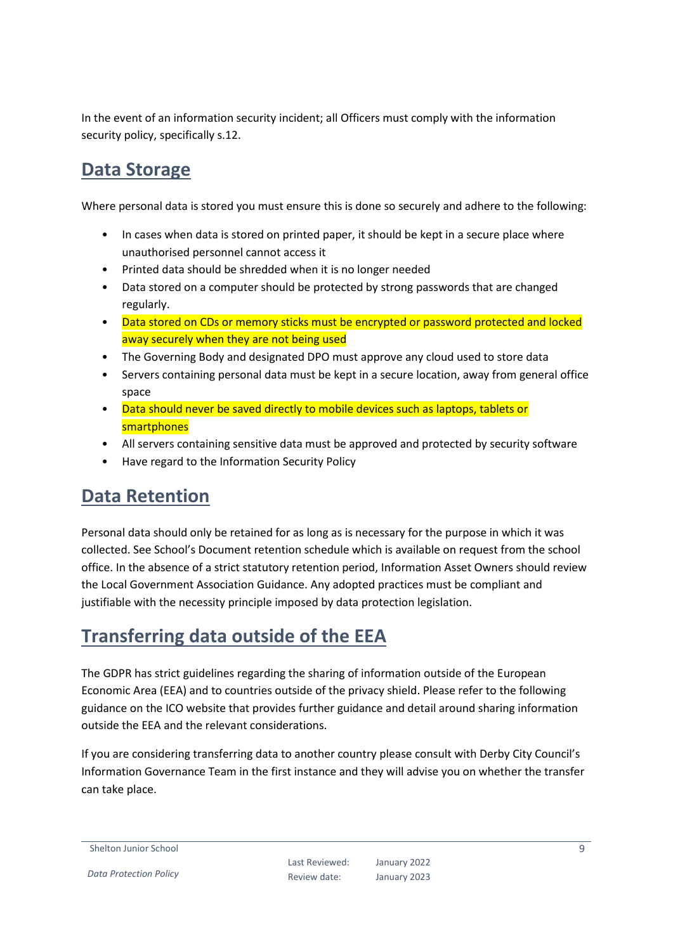In the event of an information security incident; all Officers must comply with the information security policy, specifically s.12.

#### <span id="page-8-0"></span>**Data Storage**

Where personal data is stored you must ensure this is done so securely and adhere to the following:

- In cases when data is stored on printed paper, it should be kept in a secure place where unauthorised personnel cannot access it
- Printed data should be shredded when it is no longer needed
- Data stored on a computer should be protected by strong passwords that are changed regularly.
- Data stored on CDs or memory sticks must be encrypted or password protected and locked away securely when they are not being used
- The Governing Body and designated DPO must approve any cloud used to store data
- Servers containing personal data must be kept in a secure location, away from general office space
- Data should never be saved directly to mobile devices such as laptops, tablets or smartphones
- All servers containing sensitive data must be approved and protected by security software
- Have regard to the Information Security Policy

#### <span id="page-8-1"></span>**Data Retention**

Personal data should only be retained for as long as is necessary for the purpose in which it was collected. See School's Document retention schedule which is available on request from the school office. In the absence of a strict statutory retention period, Information Asset Owners should review the Local Government Association Guidance. Any adopted practices must be compliant and justifiable with the necessity principle imposed by data protection legislation.

### <span id="page-8-2"></span>**Transferring data outside of the EEA**

The GDPR has strict guidelines regarding the sharing of information outside of the European Economic Area (EEA) and to countries outside of the privacy shield. Please refer to the following guidance on the ICO website that provides further guidance and detail around sharing information outside the EEA and the relevant considerations.

If you are considering transferring data to another country please consult with Derby City Council's Information Governance Team in the first instance and they will advise you on whether the transfer can take place.

Shelton Junior School

*Data Protection Policy*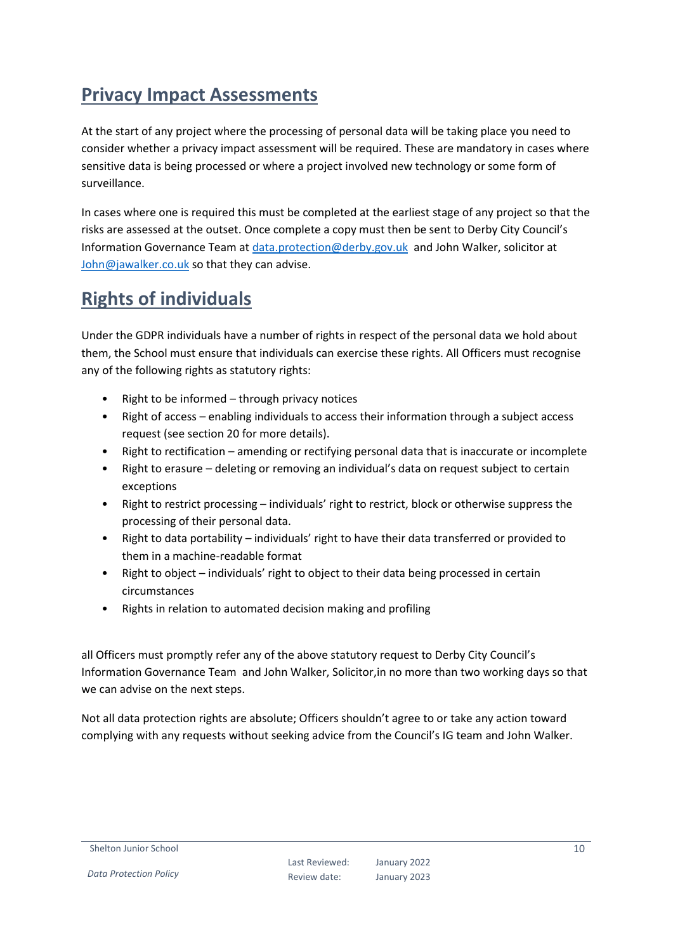# <span id="page-9-0"></span>**Privacy Impact Assessments**

At the start of any project where the processing of personal data will be taking place you need to consider whether a privacy impact assessment will be required. These are mandatory in cases where sensitive data is being processed or where a project involved new technology or some form of surveillance.

In cases where one is required this must be completed at the earliest stage of any project so that the risks are assessed at the outset. Once complete a copy must then be sent to Derby City Council's Information Governance Team at [data.protection@derby.gov.uk](mailto:data.protection@derby.gov.uk) and John Walker, solicitor at [John@jawalker.co.uk](mailto:John@jawalker.co.uk) so that they can advise.

# <span id="page-9-1"></span>**Rights of individuals**

Under the GDPR individuals have a number of rights in respect of the personal data we hold about them, the School must ensure that individuals can exercise these rights. All Officers must recognise any of the following rights as statutory rights:

- Right to be informed  $-$  through privacy notices
- Right of access enabling individuals to access their information through a subject access request (see section 20 for more details).
- Right to rectification amending or rectifying personal data that is inaccurate or incomplete
- Right to erasure deleting or removing an individual's data on request subject to certain exceptions
- Right to restrict processing individuals' right to restrict, block or otherwise suppress the processing of their personal data.
- Right to data portability individuals' right to have their data transferred or provided to them in a machine-readable format
- Right to object individuals' right to object to their data being processed in certain circumstances
- Rights in relation to automated decision making and profiling

all Officers must promptly refer any of the above statutory request to Derby City Council's Information Governance Team and John Walker, Solicitor,in no more than two working days so that we can advise on the next steps.

Not all data protection rights are absolute; Officers shouldn't agree to or take any action toward complying with any requests without seeking advice from the Council's IG team and John Walker.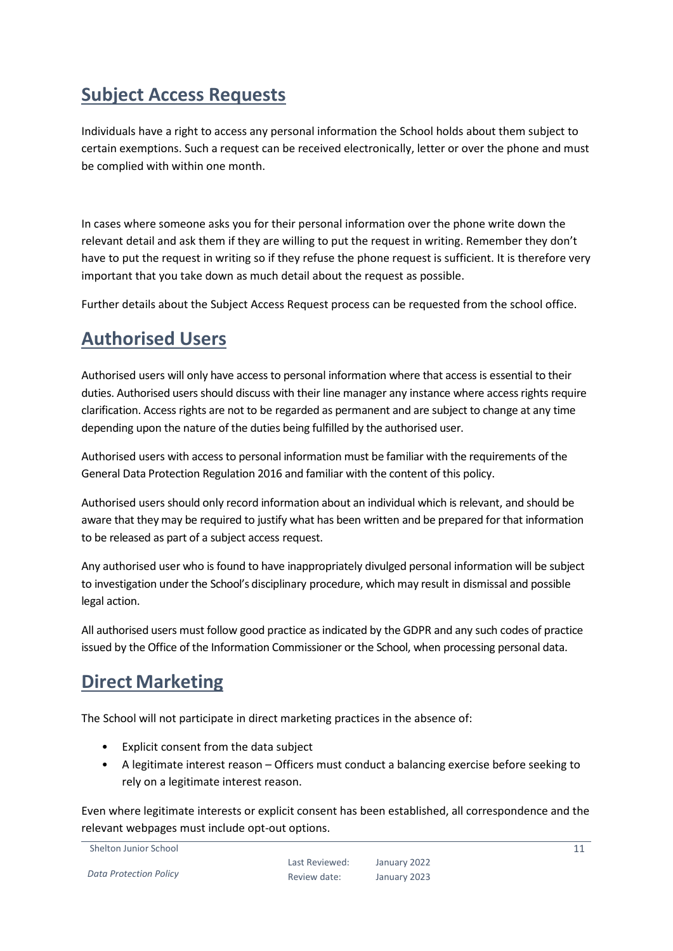# <span id="page-10-0"></span>**Subject Access Requests**

Individuals have a right to access any personal information the School holds about them subject to certain exemptions. Such a request can be received electronically, letter or over the phone and must be complied with within one month.

In cases where someone asks you for their personal information over the phone write down the relevant detail and ask them if they are willing to put the request in writing. Remember they don't have to put the request in writing so if they refuse the phone request is sufficient. It is therefore very important that you take down as much detail about the request as possible.

Further details about the Subject Access Request process can be requested from the school office.

#### <span id="page-10-1"></span>**Authorised Users**

Authorised users will only have access to personal information where that access is essential to their duties. Authorised users should discuss with their line manager any instance where access rights require clarification. Access rights are not to be regarded as permanent and are subject to change at any time depending upon the nature of the duties being fulfilled by the authorised user.

Authorised users with access to personal information must be familiar with the requirements of the General Data Protection Regulation 2016 and familiar with the content of this policy.

Authorised users should only record information about an individual which is relevant, and should be aware that they may be required to justify what has been written and be prepared for that information to be released as part of a subject access request.

Any authorised user who is found to have inappropriately divulged personal information will be subject to investigation under the School's disciplinary procedure, which may result in dismissal and possible legal action.

All authorised users must follow good practice as indicated by the GDPR and any such codes of practice issued by the Office of the Information Commissioner or the School, when processing personal data.

### <span id="page-10-2"></span>**Direct Marketing**

The School will not participate in direct marketing practices in the absence of:

- Explicit consent from the data subject
- A legitimate interest reason Officers must conduct a balancing exercise before seeking to rely on a legitimate interest reason.

Even where legitimate interests or explicit consent has been established, all correspondence and the relevant webpages must include opt-out options.

Shelton Junior School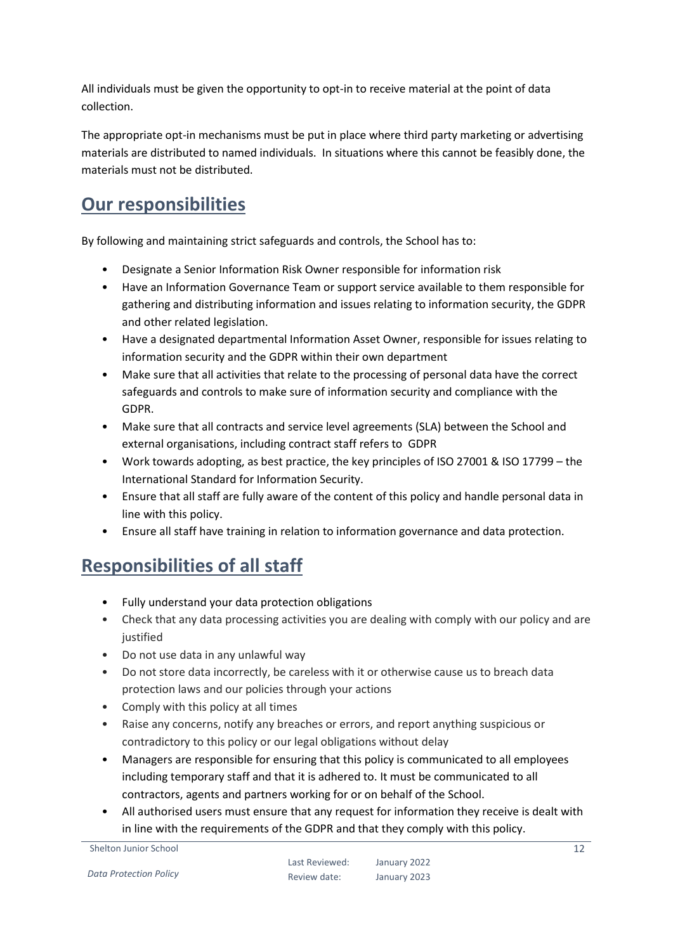All individuals must be given the opportunity to opt-in to receive material at the point of data collection.

The appropriate opt-in mechanisms must be put in place where third party marketing or advertising materials are distributed to named individuals. In situations where this cannot be feasibly done, the materials must not be distributed.

# <span id="page-11-0"></span>**Our responsibilities**

By following and maintaining strict safeguards and controls, the School has to:

- Designate a Senior Information Risk Owner responsible for information risk
- Have an Information Governance Team or support service available to them responsible for gathering and distributing information and issues relating to information security, the GDPR and other related legislation.
- Have a designated departmental Information Asset Owner, responsible for issues relating to information security and the GDPR within their own department
- Make sure that all activities that relate to the processing of personal data have the correct safeguards and controls to make sure of information security and compliance with the GDPR.
- Make sure that all contracts and service level agreements (SLA) between the School and external organisations, including contract staff refers to GDPR
- Work towards adopting, as best practice, the key principles of ISO 27001 & ISO 17799 the International Standard for Information Security.
- Ensure that all staff are fully aware of the content of this policy and handle personal data in line with this policy.
- Ensure all staff have training in relation to information governance and data protection.

# <span id="page-11-1"></span>**Responsibilities of all staff**

- Fully understand your data protection obligations
- Check that any data processing activities you are dealing with comply with our policy and are justified
- Do not use data in any unlawful way
- Do not store data incorrectly, be careless with it or otherwise cause us to breach data protection laws and our policies through your actions
- Comply with this policy at all times
- Raise any concerns, notify any breaches or errors, and report anything suspicious or contradictory to this policy or our legal obligations without delay
- Managers are responsible for ensuring that this policy is communicated to all employees including temporary staff and that it is adhered to. It must be communicated to all contractors, agents and partners working for or on behalf of the School.
- All authorised users must ensure that any request for information they receive is dealt with in line with the requirements of the GDPR and that they comply with this policy.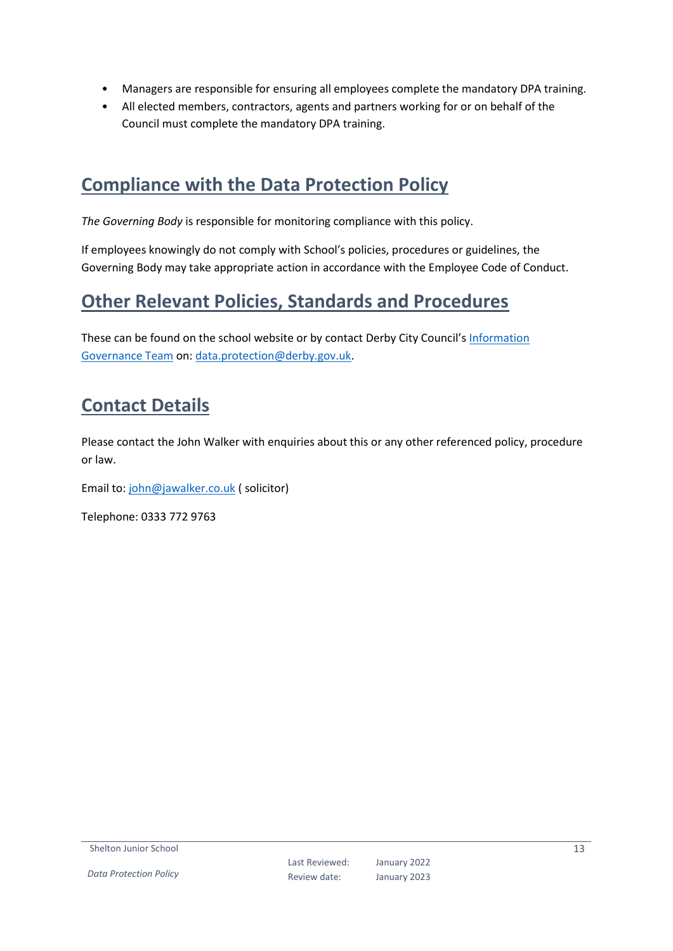- Managers are responsible for ensuring all employees complete the mandatory DPA training.
- All elected members, contractors, agents and partners working for or on behalf of the Council must complete the mandatory DPA training.

#### <span id="page-12-0"></span>**Compliance with the Data Protection Policy**

*The Governing Body* is responsible for monitoring compliance with this policy.

If employees knowingly do not comply with School's policies, procedures or guidelines, the Governing Body may take appropriate action in accordance with the Employee Code of Conduct.

#### <span id="page-12-1"></span>**Other Relevant Policies, Standards and Procedures**

These can be found on the school website or by contact Derby City Council's Information [Governance Team](mailto:data.protection@derby.gov.uk) on: [data.protection@derby.gov.uk.](mailto:data.protection@derby.gov.uk)

# <span id="page-12-2"></span>**Contact Details**

Please contact the John Walker with enquiries about this or any other referenced policy, procedure or law.

Email to: [john@jawalker.co.uk](mailto:john@jawalker.co.uk) ( solicitor)

Telephone: 0333 772 9763